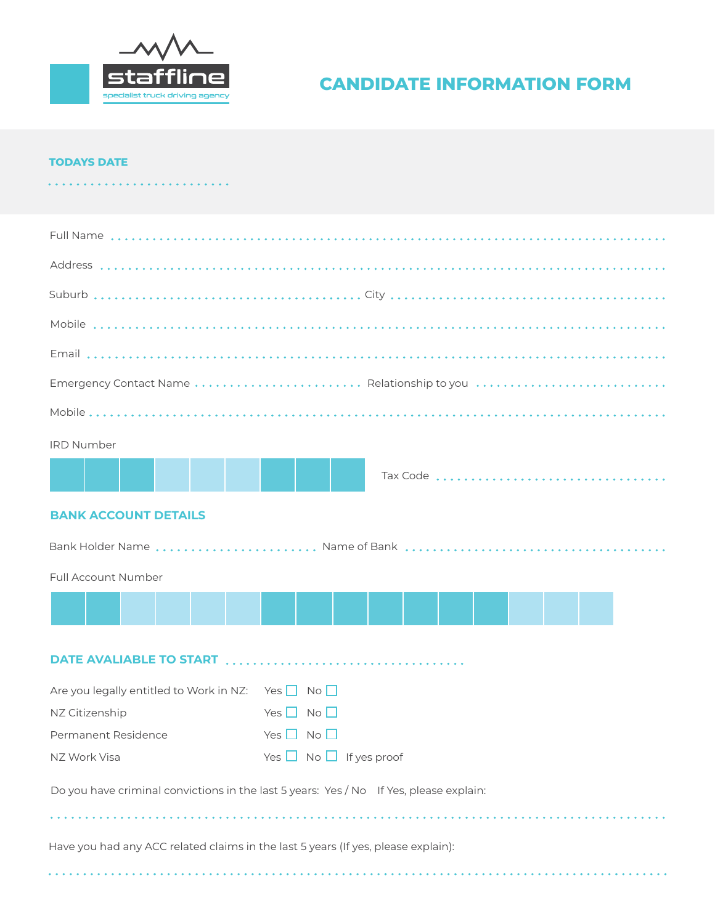

# **CANDIDATE INFORMATION FORM**

#### **TODAYS DATE**

| Emergency Contact Name  Relationship to you                                            |                                   |  |          |  |  |  |  |
|----------------------------------------------------------------------------------------|-----------------------------------|--|----------|--|--|--|--|
|                                                                                        |                                   |  |          |  |  |  |  |
| <b>IRD Number</b>                                                                      |                                   |  |          |  |  |  |  |
|                                                                                        |                                   |  | Tax Code |  |  |  |  |
|                                                                                        |                                   |  |          |  |  |  |  |
| <b>BANK ACCOUNT DETAILS</b>                                                            |                                   |  |          |  |  |  |  |
|                                                                                        |                                   |  |          |  |  |  |  |
| Full Account Number                                                                    |                                   |  |          |  |  |  |  |
|                                                                                        |                                   |  |          |  |  |  |  |
|                                                                                        |                                   |  |          |  |  |  |  |
|                                                                                        |                                   |  |          |  |  |  |  |
| Are you legally entitled to Work in NZ: Yes $\Box$ No $\Box$                           |                                   |  |          |  |  |  |  |
| NZ Citizenship                                                                         | Yes $\Box$<br>$No$ $\Box$         |  |          |  |  |  |  |
| Permanent Residence                                                                    | Yes $\Box$ No $\Box$              |  |          |  |  |  |  |
| NZ Work Visa                                                                           | Yes $\Box$ No $\Box$ If yes proof |  |          |  |  |  |  |
| Do you have criminal convictions in the last 5 years: Yes / No If Yes, please explain: |                                   |  |          |  |  |  |  |
|                                                                                        |                                   |  |          |  |  |  |  |
| Have you had any ACC related claims in the last 5 years (If yes, please explain):      |                                   |  |          |  |  |  |  |
|                                                                                        |                                   |  |          |  |  |  |  |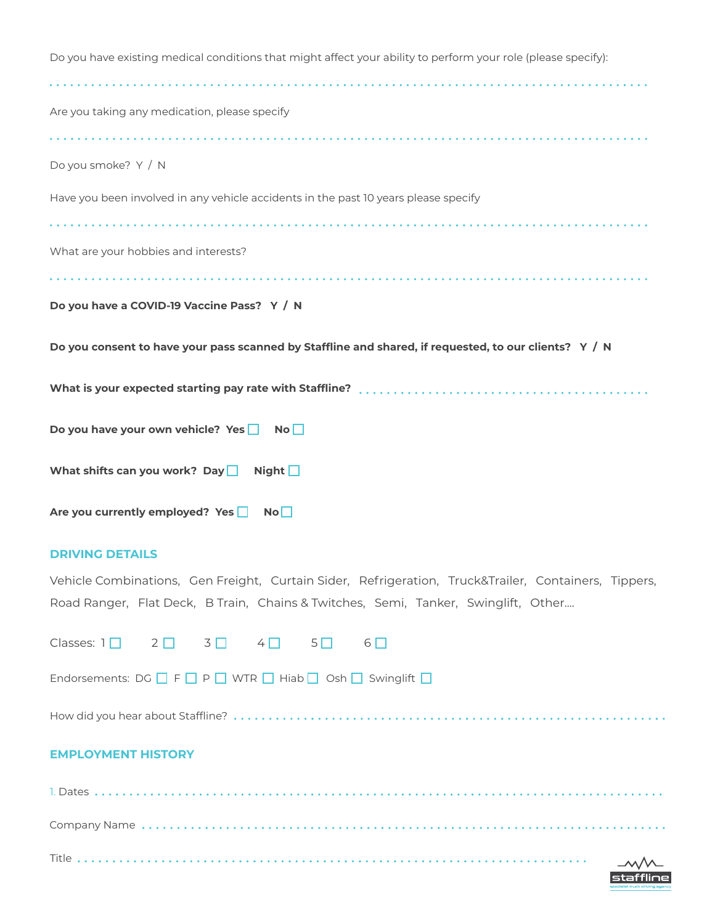| Do you have existing medical conditions that might affect your ability to perform your role (please specify): |
|---------------------------------------------------------------------------------------------------------------|
| Are you taking any medication, please specify                                                                 |
|                                                                                                               |
| Do you smoke? Y / N                                                                                           |
| Have you been involved in any vehicle accidents in the past 10 years please specify                           |
|                                                                                                               |
| What are your hobbies and interests?                                                                          |
|                                                                                                               |
| Do you have a COVID-19 Vaccine Pass? Y / N                                                                    |
| Do you consent to have your pass scanned by Staffline and shared, if requested, to our clients? Y / N         |
|                                                                                                               |
| Do you have your own vehicle? Yes<br>No <sub>1</sub>                                                          |
| What shifts can you work? Day<br>Night $\Box$                                                                 |
| Are you currently employed? Yes<br>No <sub>1</sub>                                                            |

### **DRIVING DETAILS**

Title .......

Vehicle Combinations, Gen Freight, Curtain Sider, Refrigeration, Truck&Trailer, Containers, Tippers, Road Ranger, Flat Deck, B Train, Chains & Twitches, Semi, Tanker, Swinglift, Other....

| Classes: $1 \square$ 2 $\square$ 3 $\square$ 4 $\square$ 5 $\square$ 6 $\square$                   |  |  |  |
|----------------------------------------------------------------------------------------------------|--|--|--|
| Endorsements: $DG \fbox{ or } D \in D$ P $\Box$ WTR $\Box$ Hiab $\Box$ Osh $\Box$ Swinglift $\Box$ |  |  |  |
|                                                                                                    |  |  |  |
| <b>EMPLOYMENT HISTORY</b>                                                                          |  |  |  |
|                                                                                                    |  |  |  |
|                                                                                                    |  |  |  |